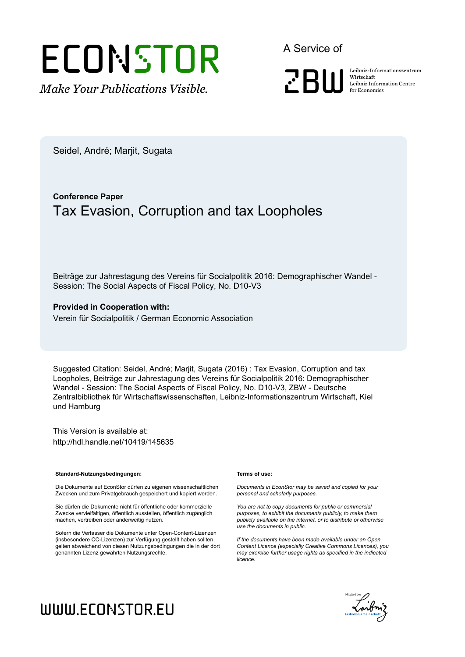# **ECONSTOR**

*Make Your Publications Visible.*

A Service of



**zburithering Leibniz-Informationszentrum**<br>Leibniz Information Centre<br>for Economics Wirtschaft Leibniz Information Centre for Economics

Seidel, André; Marjit, Sugata

# **Conference Paper** Tax Evasion, Corruption and tax Loopholes

Beiträge zur Jahrestagung des Vereins für Socialpolitik 2016: Demographischer Wandel - Session: The Social Aspects of Fiscal Policy, No. D10-V3

#### **Provided in Cooperation with:**

Verein für Socialpolitik / German Economic Association

Suggested Citation: Seidel, André; Marjit, Sugata (2016) : Tax Evasion, Corruption and tax Loopholes, Beiträge zur Jahrestagung des Vereins für Socialpolitik 2016: Demographischer Wandel - Session: The Social Aspects of Fiscal Policy, No. D10-V3, ZBW - Deutsche Zentralbibliothek für Wirtschaftswissenschaften, Leibniz-Informationszentrum Wirtschaft, Kiel und Hamburg

This Version is available at: http://hdl.handle.net/10419/145635

#### **Standard-Nutzungsbedingungen:**

Die Dokumente auf EconStor dürfen zu eigenen wissenschaftlichen Zwecken und zum Privatgebrauch gespeichert und kopiert werden.

Sie dürfen die Dokumente nicht für öffentliche oder kommerzielle Zwecke vervielfältigen, öffentlich ausstellen, öffentlich zugänglich machen, vertreiben oder anderweitig nutzen.

Sofern die Verfasser die Dokumente unter Open-Content-Lizenzen (insbesondere CC-Lizenzen) zur Verfügung gestellt haben sollten, gelten abweichend von diesen Nutzungsbedingungen die in der dort genannten Lizenz gewährten Nutzungsrechte.

#### **Terms of use:**

*Documents in EconStor may be saved and copied for your personal and scholarly purposes.*

*You are not to copy documents for public or commercial purposes, to exhibit the documents publicly, to make them publicly available on the internet, or to distribute or otherwise use the documents in public.*

*If the documents have been made available under an Open Content Licence (especially Creative Commons Licences), you may exercise further usage rights as specified in the indicated licence.*



# www.econstor.eu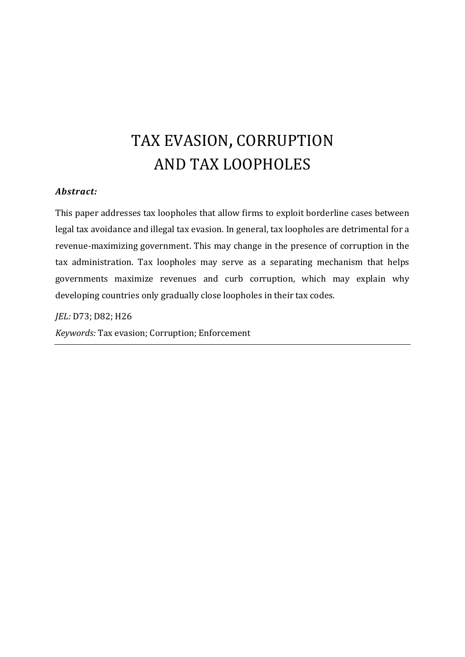# TAX EVASION, CORRUPTION AND TAX LOOPHOLES

#### *Abstract:*

This paper addresses tax loopholes that allow firms to exploit borderline cases between legal tax avoidance and illegal tax evasion. In general, tax loopholes are detrimental for a revenue-maximizing government. This may change in the presence of corruption in the tax administration. Tax loopholes may serve as a separating mechanism that helps governments maximize revenues and curb corruption, which may explain why developing countries only gradually close loopholes in their tax codes.

*JEL:* D73; D82; H26

*Keywords:* Tax evasion; Corruption; Enforcement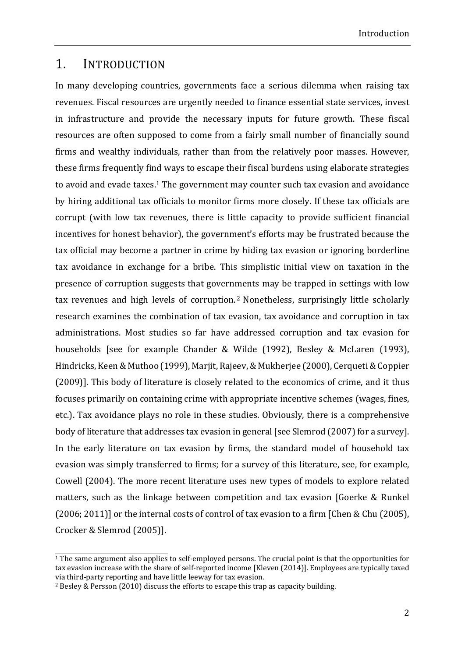#### 1. INTRODUCTION

In many developing countries, governments face a serious dilemma when raising tax revenues. Fiscal resources are urgently needed to finance essential state services, invest in infrastructure and provide the necessary inputs for future growth. These fiscal resources are often supposed to come from a fairly small number of financially sound firms and wealthy individuals, rather than from the relatively poor masses. However, these firms frequently find ways to escape their fiscal burdens using elaborate strategies to avoid and evade taxes.<sup>1</sup> The government may counter such tax evasion and avoidance by hiring additional tax officials to monitor firms more closely. If these tax officials are corrupt (with low tax revenues, there is little capacity to provide sufficient financial incentives for honest behavior), the government's efforts may be frustrated because the tax official may become a partner in crime by hiding tax evasion or ignoring borderline tax avoidance in exchange for a bribe. This simplistic initial view on taxation in the presence of corruption suggests that governments may be trapped in settings with low tax revenues and high levels of corruption.<sup>2</sup> Nonetheless, surprisingly little scholarly research examines the combination of tax evasion, tax avoidance and corruption in tax administrations. Most studies so far have addressed corruption and tax evasion for households [see for example Chander & Wilde  $(1992)$ , Besley & McLaren  $(1993)$ , Hindricks, Keen & Muthoo (1999), Marjit, Rajeev, & Mukherjee (2000), Cerqueti & Coppier (2009)]. This body of literature is closely related to the economics of crime, and it thus focuses primarily on containing crime with appropriate incentive schemes (wages, fines, etc.). Tax avoidance plays no role in these studies. Obviously, there is a comprehensive body of literature that addresses tax evasion in general [see Slemrod (2007) for a survey]. In the early literature on tax evasion by firms, the standard model of household tax evasion was simply transferred to firms; for a survey of this literature, see, for example, Cowell (2004). The more recent literature uses new types of models to explore related matters, such as the linkage between competition and tax evasion [Goerke & Runkel  $(2006; 2011)$ ] or the internal costs of control of tax evasion to a firm [Chen & Chu (2005), Crocker & Slemrod (2005)].

the contract of the contract of the contract of the contract of the contract of the contract of the contract of

 $1$  The same argument also applies to self-employed persons. The crucial point is that the opportunities for tax evasion increase with the share of self-reported income [Kleven  $(2014)$ ]. Employees are typically taxed via third-party reporting and have little leeway for tax evasion.

<sup>&</sup>lt;sup>2</sup> Besley & Persson  $(2010)$  discuss the efforts to escape this trap as capacity building.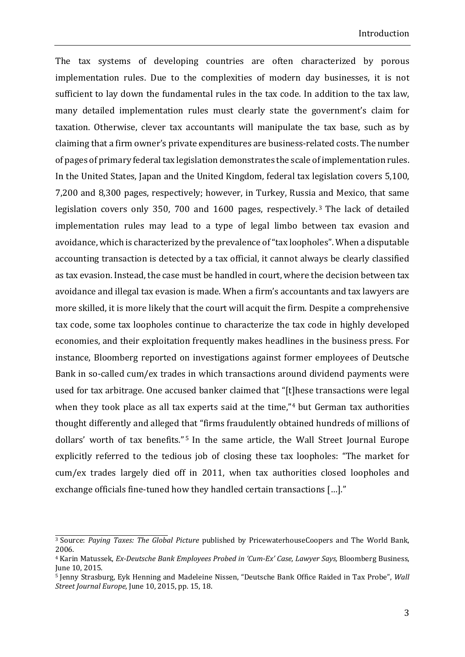The tax systems of developing countries are often characterized by porous implementation rules. Due to the complexities of modern day businesses, it is not sufficient to lay down the fundamental rules in the tax code. In addition to the tax law, many detailed implementation rules must clearly state the government's claim for taxation. Otherwise, clever tax accountants will manipulate the tax base, such as by claiming that a firm owner's private expenditures are business-related costs. The number of pages of primary federal tax legislation demonstrates the scale of implementation rules. In the United States, Japan and the United Kingdom, federal tax legislation covers 5,100, 7,200 and 8,300 pages, respectively; however, in Turkey, Russia and Mexico, that same legislation covers only 350, 700 and 1600 pages, respectively.<sup>3</sup> The lack of detailed implementation rules may lead to a type of legal limbo between tax evasion and avoidance, which is characterized by the prevalence of "tax loopholes". When a disputable accounting transaction is detected by a tax official, it cannot always be clearly classified as tax evasion. Instead, the case must be handled in court, where the decision between tax avoidance and illegal tax evasion is made. When a firm's accountants and tax lawyers are more skilled, it is more likely that the court will acquit the firm. Despite a comprehensive tax code, some tax loopholes continue to characterize the tax code in highly developed economies, and their exploitation frequently makes headlines in the business press. For instance, Bloomberg reported on investigations against former employees of Deutsche Bank in so-called cum/ex trades in which transactions around dividend payments were used for tax arbitrage. One accused banker claimed that "[t]hese transactions were legal when they took place as all tax experts said at the time," $4$  but German tax authorities thought differently and alleged that "firms fraudulently obtained hundreds of millions of dollars' worth of tax benefits."<sup>5</sup> In the same article, the Wall Street Journal Europe explicitly referred to the tedious job of closing these tax loopholes: "The market for cum/ex trades largely died off in 2011, when tax authorities closed loopholes and exchange officials fine-tuned how they handled certain transactions [...]."

<sup>&</sup>lt;sup>3</sup> Source: *Paying Taxes: The Global Picture* published by PricewaterhouseCoopers and The World Bank, 2006. 

<sup>4</sup> Karin Matussek, *Ex‐Deutsche Bank Employees Probed in 'Cum‐Ex' Case, Lawyer Says,* Bloomberg Business, June 10, 2015.

<sup>&</sup>lt;sup>5</sup> Jenny Strasburg, Eyk Henning and Madeleine Nissen, "Deutsche Bank Office Raided in Tax Probe", *Wall Street Journal Europe*, June 10, 2015, pp. 15, 18.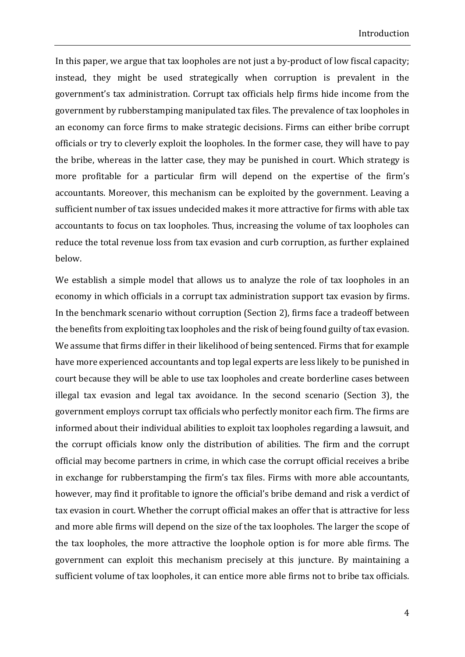In this paper, we argue that tax loopholes are not just a by-product of low fiscal capacity; instead, they might be used strategically when corruption is prevalent in the government's tax administration. Corrupt tax officials help firms hide income from the government by rubberstamping manipulated tax files. The prevalence of tax loopholes in an economy can force firms to make strategic decisions. Firms can either bribe corrupt officials or try to cleverly exploit the loopholes. In the former case, they will have to pay the bribe, whereas in the latter case, they may be punished in court. Which strategy is more profitable for a particular firm will depend on the expertise of the firm's accountants. Moreover, this mechanism can be exploited by the government. Leaving a sufficient number of tax issues undecided makes it more attractive for firms with able tax accountants to focus on tax loopholes. Thus, increasing the volume of tax loopholes can reduce the total revenue loss from tax evasion and curb corruption, as further explained below. 

We establish a simple model that allows us to analyze the role of tax loopholes in an economy in which officials in a corrupt tax administration support tax evasion by firms. In the benchmark scenario without corruption (Section 2), firms face a tradeoff between the benefits from exploiting tax loopholes and the risk of being found guilty of tax evasion. We assume that firms differ in their likelihood of being sentenced. Firms that for example have more experienced accountants and top legal experts are less likely to be punished in court because they will be able to use tax loopholes and create borderline cases between illegal tax evasion and legal tax avoidance. In the second scenario (Section 3), the government employs corrupt tax officials who perfectly monitor each firm. The firms are informed about their individual abilities to exploit tax loopholes regarding a lawsuit, and the corrupt officials know only the distribution of abilities. The firm and the corrupt official may become partners in crime, in which case the corrupt official receives a bribe in exchange for rubberstamping the firm's tax files. Firms with more able accountants, however, may find it profitable to ignore the official's bribe demand and risk a verdict of tax evasion in court. Whether the corrupt official makes an offer that is attractive for less and more able firms will depend on the size of the tax loopholes. The larger the scope of the tax loopholes, the more attractive the loophole option is for more able firms. The government can exploit this mechanism precisely at this juncture. By maintaining a sufficient volume of tax loopholes, it can entice more able firms not to bribe tax officials.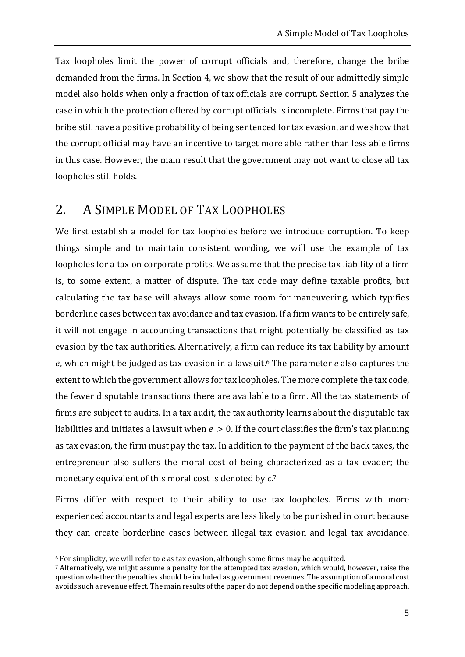Tax loopholes limit the power of corrupt officials and, therefore, change the bribe demanded from the firms. In Section 4, we show that the result of our admittedly simple model also holds when only a fraction of tax officials are corrupt. Section 5 analyzes the case in which the protection offered by corrupt officials is incomplete. Firms that pay the bribe still have a positive probability of being sentenced for tax evasion, and we show that the corrupt official may have an incentive to target more able rather than less able firms in this case. However, the main result that the government may not want to close all tax loopholes still holds.

# 2. A SIMPLE MODEL OF TAX LOOPHOLES

We first establish a model for tax loopholes before we introduce corruption. To keep things simple and to maintain consistent wording, we will use the example of tax loopholes for a tax on corporate profits. We assume that the precise tax liability of a firm is, to some extent, a matter of dispute. The tax code may define taxable profits, but calculating the tax base will always allow some room for maneuvering, which typifies borderline cases between tax avoidance and tax evasion. If a firm wants to be entirely safe, it will not engage in accounting transactions that might potentially be classified as tax evasion by the tax authorities. Alternatively, a firm can reduce its tax liability by amount e, which might be judged as tax evasion in a lawsuit.<sup>6</sup> The parameter *e* also captures the extent to which the government allows for tax loopholes. The more complete the tax code, the fewer disputable transactions there are available to a firm. All the tax statements of firms are subject to audits. In a tax audit, the tax authority learns about the disputable tax liabilities and initiates a lawsuit when  $e > 0$ . If the court classifies the firm's tax planning as tax evasion, the firm must pay the tax. In addition to the payment of the back taxes, the entrepreneur also suffers the moral cost of being characterized as a tax evader; the monetary equivalent of this moral cost is denoted by  $c$ .<sup>7</sup>

Firms differ with respect to their ability to use tax loopholes. Firms with more experienced accountants and legal experts are less likely to be punished in court because they can create borderline cases between illegal tax evasion and legal tax avoidance.

 $\overline{6}$  For simplicity, we will refer to *e* as tax evasion, although some firms may be acquitted.

<sup>&</sup>lt;sup>7</sup> Alternatively, we might assume a penalty for the attempted tax evasion, which would, however, raise the question whether the penalties should be included as government revenues. The assumption of a moral cost  $\alpha$ voids such a revenue effect. The main results of the paper do not depend on the specific modeling approach.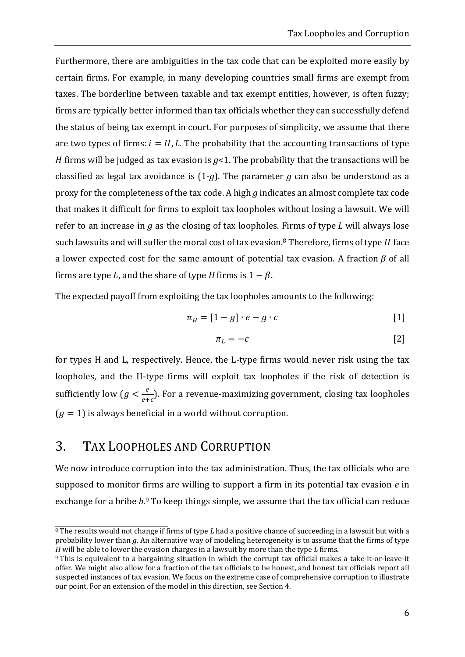Furthermore, there are ambiguities in the tax code that can be exploited more easily by certain firms. For example, in many developing countries small firms are exempt from taxes. The borderline between taxable and tax exempt entities, however, is often fuzzy; firms are typically better informed than tax officials whether they can successfully defend the status of being tax exempt in court. For purposes of simplicity, we assume that there are two types of firms:  $i = H, L$ . The probability that the accounting transactions of type *H* firms will be judged as tax evasion is  $g<1$ . The probability that the transactions will be classified as legal tax avoidance is  $(1-q)$ . The parameter *q* can also be understood as a proxy for the completeness of the tax code. A high *g* indicates an almost complete tax code that makes it difficult for firms to exploit tax loopholes without losing a lawsuit. We will refer to an increase in  $g$  as the closing of tax loopholes. Firms of type  $L$  will always lose such lawsuits and will suffer the moral cost of tax evasion.<sup>8</sup> Therefore, firms of type  $H$  face a lower expected cost for the same amount of potential tax evasion. A fraction  $\beta$  of all firms are type L, and the share of type H firms is  $1 - \beta$ .

The expected payoff from exploiting the tax loopholes amounts to the following:

$$
\pi_H = [1 - g] \cdot e - g \cdot c \tag{1}
$$

$$
\pi_L = -c \tag{2}
$$

for types  $H$  and  $L$ , respectively. Hence, the  $L$ -type firms would never risk using the tax loopholes, and the H-type firms will exploit tax loopholes if the risk of detection is sufficiently low  $(g < \frac{e}{e+c})$ . For a revenue-maximizing government, closing tax loopholes  $(g = 1)$  is always beneficial in a world without corruption.

## 3. TAX LOOPHOLES AND CORRUPTION

 

We now introduce corruption into the tax administration. Thus, the tax officials who are supposed to monitor firms are willing to support a firm in its potential tax evasion  $e$  in exchange for a bribe  $b$ <sup>9</sup> To keep things simple, we assume that the tax official can reduce

<sup>&</sup>lt;sup>8</sup> The results would not change if firms of type *L* had a positive chance of succeeding in a lawsuit but with a probability lower than *g*. An alternative way of modeling heterogeneity is to assume that the firms of type *H* will be able to lower the evasion charges in a lawsuit by more than the type *L* firms.

<sup>9</sup> This is equivalent to a bargaining situation in which the corrupt tax official makes a take-it-or-leave-it offer. We might also allow for a fraction of the tax officials to be honest, and honest tax officials report all suspected instances of tax evasion. We focus on the extreme case of comprehensive corruption to illustrate our point. For an extension of the model in this direction, see Section 4.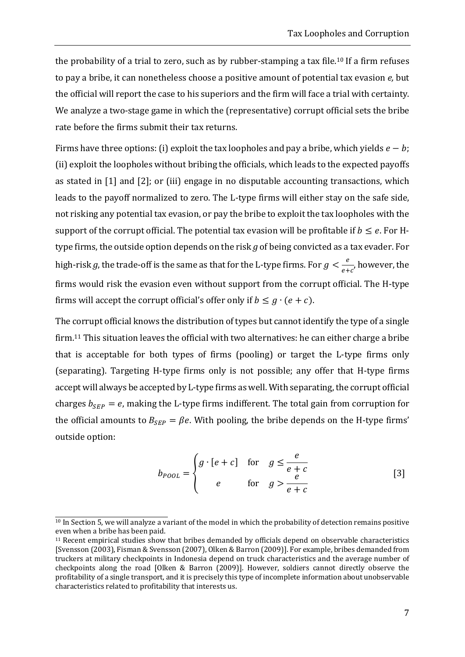the probability of a trial to zero, such as by rubber-stamping a tax file.<sup>10</sup> If a firm refuses to pay a bribe, it can nonetheless choose a positive amount of potential tax evasion *e*, but the official will report the case to his superiors and the firm will face a trial with certainty. We analyze a two-stage game in which the (representative) corrupt official sets the bribe rate before the firms submit their tax returns.

Firms have three options: (i) exploit the tax loopholes and pay a bribe, which yields  $e - b$ ; (ii) exploit the loopholes without bribing the officials, which leads to the expected payoffs as stated in  $[1]$  and  $[2]$ ; or  $(iii)$  engage in no disputable accounting transactions, which leads to the payoff normalized to zero. The L-type firms will either stay on the safe side, not risking any potential tax evasion, or pay the bribe to exploit the tax loopholes with the support of the corrupt official. The potential tax evasion will be profitable if  $b \le e$ . For Htype firms, the outside option depends on the risk  $q$  of being convicted as a tax evader. For high-risk  $g$ , the trade-off is the same as that for the L-type firms. For  $g < \frac{e}{e+c'}$ , however, the firms would risk the evasion even without support from the corrupt official. The H-type firms will accept the corrupt official's offer only if  $b \leq g \cdot (e + c)$ .

The corrupt official knows the distribution of types but cannot identify the type of a single firm.<sup>11</sup> This situation leaves the official with two alternatives: he can either charge a bribe that is acceptable for both types of firms (pooling) or target the L-type firms only (separating). Targeting H-type firms only is not possible; any offer that H-type firms accept will always be accepted by L-type firms as well. With separating, the corrupt official charges  $b_{SEP} = e$ , making the L-type firms indifferent. The total gain from corruption for the official amounts to  $B_{SEP} = \beta e$ . With pooling, the bribe depends on the H-type firms' outside option:

$$
b_{Pool} = \begin{cases} g \cdot [e+c] & \text{for} \quad g \le \frac{e}{e+c} \\ e & \text{for} \quad g > \frac{e}{e+c} \end{cases}
$$
 [3]

 $\frac{10}{10}$  In Section 5, we will analyze a variant of the model in which the probability of detection remains positive even when a bribe has been paid.

 $11$  Recent empirical studies show that bribes demanded by officials depend on observable characteristics [Svensson (2003), Fisman & Svensson (2007), Olken & Barron (2009)]. For example, bribes demanded from truckers at military checkpoints in Indonesia depend on truck characteristics and the average number of checkpoints along the road [Olken & Barron (2009)]. However, soldiers cannot directly observe the profitability of a single transport, and it is precisely this type of incomplete information about unobservable characteristics related to profitability that interests us.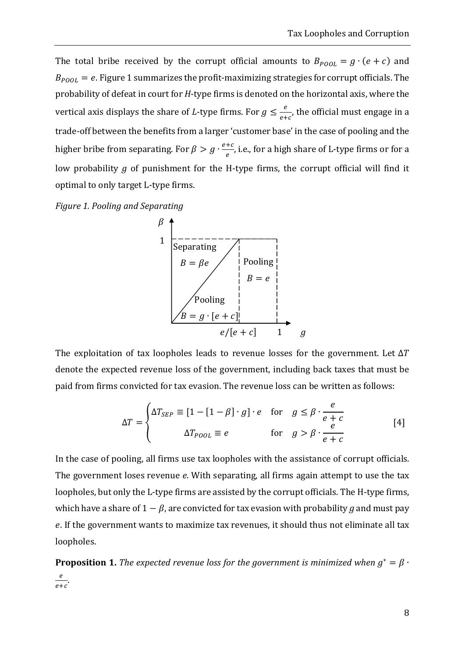The total bribe received by the corrupt official amounts to  $B_{\text{POOL}} = g \cdot (e + c)$  and  $B_{\text{POOL}} = e$ . Figure 1 summarizes the profit-maximizing strategies for corrupt officials. The probability of defeat in court for *H*-type firms is denoted on the horizontal axis, where the vertical axis displays the share of *L*-type firms. For  $g \leq \frac{e}{e+c'}$ , the official must engage in a trade-off between the benefits from a larger 'customer base' in the case of pooling and the higher bribe from separating. For  $\beta > g \cdot \frac{e+c}{e}$ , i.e., for a high share of L-type firms or for a low probability  $g$  of punishment for the H-type firms, the corrupt official will find it optimal to only target L-type firms.





The exploitation of tax loopholes leads to revenue losses for the government. Let  $\Delta T$ denote the expected revenue loss of the government, including back taxes that must be paid from firms convicted for tax evasion. The revenue loss can be written as follows:

$$
\Delta T = \begin{cases} \Delta T_{SEP} \equiv [1 - [1 - \beta] \cdot g] \cdot e & \text{for} \quad g \le \beta \cdot \frac{e}{e + c} \\ \Delta T_{pool} \equiv e & \text{for} \quad g > \beta \cdot \frac{e}{e + c} \end{cases}
$$
 [4]

In the case of pooling, all firms use tax loopholes with the assistance of corrupt officials. The government loses revenue *e*. With separating, all firms again attempt to use the tax loopholes, but only the L-type firms are assisted by the corrupt officials. The H-type firms, which have a share of  $1 - \beta$ , are convicted for tax evasion with probability g and must pay e. If the government wants to maximize tax revenues, it should thus not eliminate all tax loopholes. 

**Proposition 1.** *The expected revenue loss for the government is minimized when*  $g^* = \beta$  ·  $\frac{e}{e+c}$ .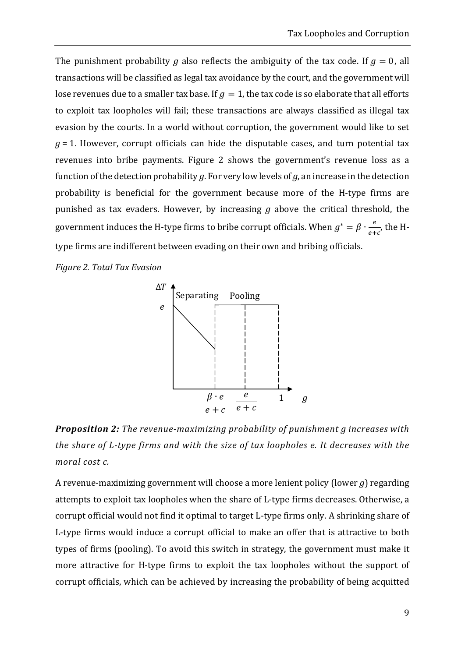The punishment probability *g* also reflects the ambiguity of the tax code. If  $q = 0$ , all transactions will be classified as legal tax avoidance by the court, and the government will lose revenues due to a smaller tax base. If  $g = 1$ , the tax code is so elaborate that all efforts to exploit tax loopholes will fail; these transactions are always classified as illegal tax evasion by the courts. In a world without corruption, the government would like to set  $g = 1$ . However, corrupt officials can hide the disputable cases, and turn potential tax revenues into bribe payments. Figure 2 shows the government's revenue loss as a function of the detection probability  $q$ . For very low levels of  $q$ , an increase in the detection probability is beneficial for the government because more of the H-type firms are punished as tax evaders. However, by increasing  $g$  above the critical threshold, the government induces the H-type firms to bribe corrupt officials. When  $g^* = \beta \cdot \frac{e}{e+c}$ , the Htype firms are indifferent between evading on their own and bribing officials.

*Figure 2. Total Tax Evasion*



*Proposition 2: The revenue‐maximizing probability of punishment g increases with the share of L‐type firms and with the size of tax loopholes e. It decreases with the moral cost c.*

A revenue-maximizing government will choose a more lenient policy (lower  $g$ ) regarding attempts to exploit tax loopholes when the share of L-type firms decreases. Otherwise, a corrupt official would not find it optimal to target L-type firms only. A shrinking share of L-type firms would induce a corrupt official to make an offer that is attractive to both types of firms (pooling). To avoid this switch in strategy, the government must make it more attractive for H-type firms to exploit the tax loopholes without the support of corrupt officials, which can be achieved by increasing the probability of being acquitted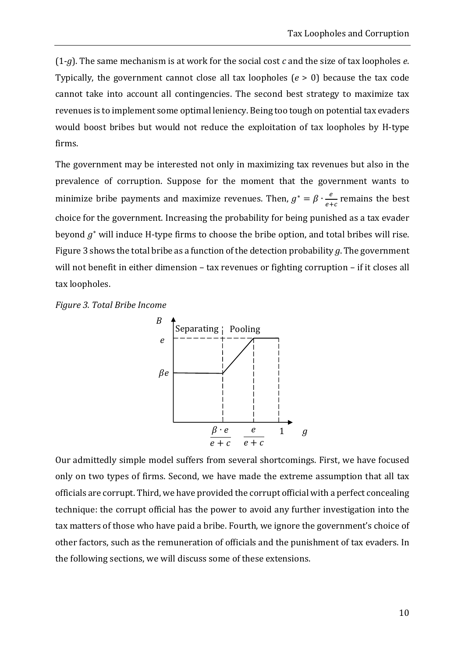$(1-g)$ . The same mechanism is at work for the social cost *c* and the size of tax loopholes *e*. Typically, the government cannot close all tax loopholes  $(e > 0)$  because the tax code cannot take into account all contingencies. The second best strategy to maximize tax revenues is to implement some optimal leniency. Being too tough on potential tax evaders would boost bribes but would not reduce the exploitation of tax loopholes by H-type firms. 

The government may be interested not only in maximizing tax revenues but also in the prevalence of corruption. Suppose for the moment that the government wants to minimize bribe payments and maximize revenues. Then,  $g^* = \beta \cdot \frac{e}{e+c}$  remains the best choice for the government. Increasing the probability for being punished as a tax evader beyond  $g^*$  will induce H-type firms to choose the bribe option, and total bribes will rise. Figure 3 shows the total bribe as a function of the detection probability  $g$ . The government will not benefit in either dimension - tax revenues or fighting corruption - if it closes all tax loopholes.





Our admittedly simple model suffers from several shortcomings. First, we have focused only on two types of firms. Second, we have made the extreme assumption that all tax officials are corrupt. Third, we have provided the corrupt official with a perfect concealing technique: the corrupt official has the power to avoid any further investigation into the tax matters of those who have paid a bribe. Fourth, we ignore the government's choice of other factors, such as the remuneration of officials and the punishment of tax evaders. In the following sections, we will discuss some of these extensions.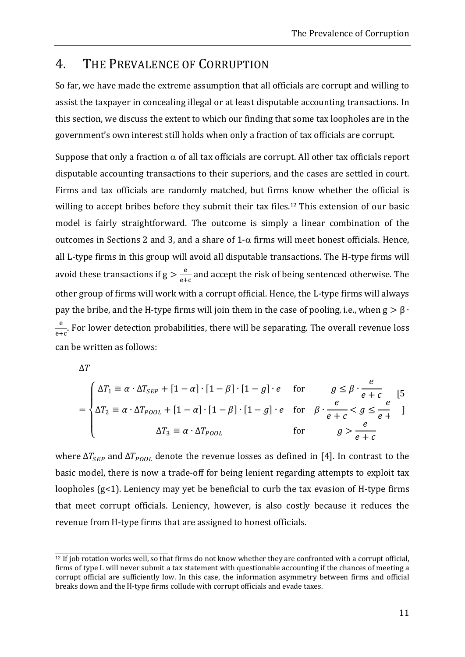## 4. THE PREVALENCE OF CORRUPTION

So far, we have made the extreme assumption that all officials are corrupt and willing to assist the taxpayer in concealing illegal or at least disputable accounting transactions. In this section, we discuss the extent to which our finding that some tax loopholes are in the government's own interest still holds when only a fraction of tax officials are corrupt.

Suppose that only a fraction  $\alpha$  of all tax officials are corrupt. All other tax officials report disputable accounting transactions to their superiors, and the cases are settled in court. Firms and tax officials are randomly matched, but firms know whether the official is willing to accept bribes before they submit their tax files.<sup>12</sup> This extension of our basic model is fairly straightforward. The outcome is simply a linear combination of the outcomes in Sections 2 and 3, and a share of  $1-\alpha$  firms will meet honest officials. Hence, all L-type firms in this group will avoid all disputable transactions. The H-type firms will avoid these transactions if  $g > \frac{e}{e+c}$  and accept the risk of being sentenced otherwise. The other group of firms will work with a corrupt official. Hence, the L-type firms will always pay the bribe, and the H-type firms will join them in the case of pooling, i.e., when  $g > \beta \cdot$  $\frac{e}{e+c}$ . For lower detection probabilities, there will be separating. The overall revenue loss can be written as follows:

 $\Delta T$ 

$$
= \begin{cases} \Delta T_1 \equiv \alpha \cdot \Delta T_{SEP} + [1 - \alpha] \cdot [1 - \beta] \cdot [1 - g] \cdot e & \text{for} \qquad g \le \beta \cdot \frac{e}{e + c} \\ \Delta T_2 \equiv \alpha \cdot \Delta T_{P0OL} + [1 - \alpha] \cdot [1 - \beta] \cdot [1 - g] \cdot e & \text{for} \quad \beta \cdot \frac{e}{e + c} < g \le \frac{e}{e + c} \\ \Delta T_3 \equiv \alpha \cdot \Delta T_{P0OL} & \text{for} \qquad g > \frac{e}{e + c} \end{cases}
$$

where  $\Delta T_{\text{SFD}}$  and  $\Delta T_{\text{POOI}}$  denote the revenue losses as defined in [4]. In contrast to the basic model, there is now a trade-off for being lenient regarding attempts to exploit tax loopholes  $(g<1)$ . Leniency may yet be beneficial to curb the tax evasion of H-type firms that meet corrupt officials. Leniency, however, is also costly because it reduces the revenue from H-type firms that are assigned to honest officials.

 $\frac{12 \text{ If job rotation works well, so that firms do not know whether they are confronted with a corrupt official, }$ firms of type L will never submit a tax statement with questionable accounting if the chances of meeting a corrupt official are sufficiently low. In this case, the information asymmetry between firms and official breaks down and the H-type firms collude with corrupt officials and evade taxes.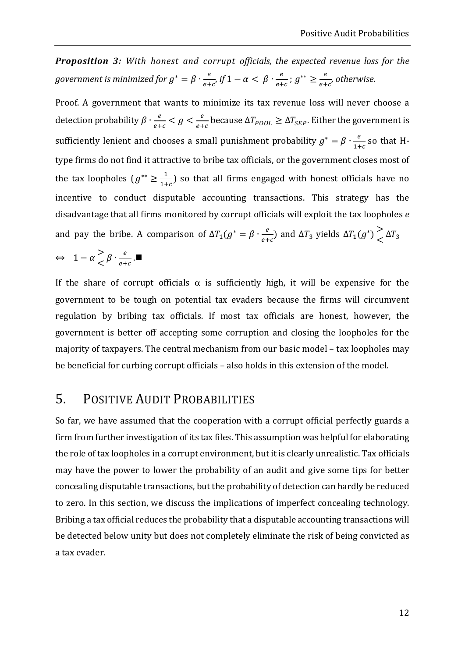*Proposition 3: With honest and corrupt officials, the expected revenue loss for the* government is minimized for  $g^* = \beta \cdot \frac{e}{e+c}$ , if  $1 - \alpha < \beta \cdot \frac{e}{e+c}$ ;  $g^{**} \ge \frac{e}{e+c'}$  otherwise.

Proof. A government that wants to minimize its tax revenue loss will never choose a detection probability  $\beta \cdot \frac{e}{e+c} < g < \frac{e}{e+c}$  because  $\Delta T_{p\0 L} \geq \Delta T_{SEP}$ . Either the government is sufficiently lenient and chooses a small punishment probability  $g^* = \beta \cdot \frac{e}{1+c}$  so that Htype firms do not find it attractive to bribe tax officials, or the government closes most of the tax loopholes  $(g^{**} \geq \frac{1}{1+c})$  so that all firms engaged with honest officials have no incentive to conduct disputable accounting transactions. This strategy has the disadvantage that all firms monitored by corrupt officials will exploit the tax loopholes *e* and pay the bribe. A comparison of  $\Delta T_1(g^* = \beta \cdot \frac{e}{e+c})$  and  $\Delta T_3$  yields  $\Delta T_1(g^*) \begin{cases} \Delta T_3 & \Delta T_4 \end{cases}$  $\boldsymbol{e}$ 

$$
\Leftrightarrow \ \ 1-\alpha \mathop{}_{\textstyle \leftarrow}^{\textstyle >} \beta \cdot \mathop{}_{\textstyle e+c}^{\textstyle e} \, . \blacksquare
$$

If the share of corrupt officials  $\alpha$  is sufficiently high, it will be expensive for the government to be tough on potential tax evaders because the firms will circumvent regulation by bribing tax officials. If most tax officials are honest, however, the government is better off accepting some corruption and closing the loopholes for the majority of taxpayers. The central mechanism from our basic model – tax loopholes may be beneficial for curbing corrupt officials – also holds in this extension of the model.

# 5. POSITIVE AUDIT PROBABILITIES

So far, we have assumed that the cooperation with a corrupt official perfectly guards a firm from further investigation of its tax files. This assumption was helpful for elaborating the role of tax loopholes in a corrupt environment, but it is clearly unrealistic. Tax officials may have the power to lower the probability of an audit and give some tips for better concealing disputable transactions, but the probability of detection can hardly be reduced to zero. In this section, we discuss the implications of imperfect concealing technology. Bribing a tax official reduces the probability that a disputable accounting transactions will be detected below unity but does not completely eliminate the risk of being convicted as a tax evader.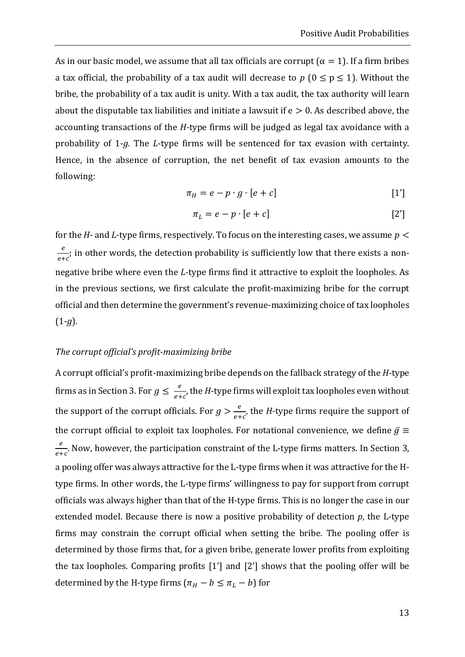As in our basic model, we assume that all tax officials are corrupt ( $\alpha = 1$ ). If a firm bribes a tax official, the probability of a tax audit will decrease to  $p (0 \le p \le 1)$ . Without the bribe, the probability of a tax audit is unity. With a tax audit, the tax authority will learn about the disputable tax liabilities and initiate a lawsuit if  $e > 0$ . As described above, the accounting transactions of the *H*‐type firms will be judged as legal tax avoidance with a probability of 1-*g*. The *L*-type firms will be sentenced for tax evasion with certainty. Hence, in the absence of corruption, the net benefit of tax evasion amounts to the following: 

$$
\pi_H = e - p \cdot g \cdot [e + c] \tag{1'}
$$

$$
\pi_L = e - p \cdot [e + c] \tag{2'}
$$

for the *H*- and *L*-type firms, respectively. To focus on the interesting cases, we assume  $p <$  $\frac{e}{e+c}$ ; in other words, the detection probability is sufficiently low that there exists a nonnegative bribe where even the *L*-type firms find it attractive to exploit the loopholes. As in the previous sections, we first calculate the profit-maximizing bribe for the corrupt official and then determine the government's revenue-maximizing choice of tax loopholes  $(1-g).$ 

#### *The corrupt official's profit‐maximizing bribe*

A corrupt official's profit-maximizing bribe depends on the fallback strategy of the *H*-type firms as in Section 3. For  $g \leq \frac{e}{e+c}$ , the *H*-type firms will exploit tax loopholes even without the support of the corrupt officials. For  $g > \frac{e}{e+c}$ , the *H*-type firms require the support of the corrupt official to exploit tax loopholes. For notational convenience, we define  $\bar{g} \equiv$  $\frac{e}{e+c}$ . Now, however, the participation constraint of the L-type firms matters. In Section 3, a pooling offer was always attractive for the L-type firms when it was attractive for the Htype firms. In other words, the L-type firms' willingness to pay for support from corrupt officials was always higher than that of the H-type firms. This is no longer the case in our extended model. Because there is now a positive probability of detection  $p$ , the L-type firms may constrain the corrupt official when setting the bribe. The pooling offer is determined by those firms that, for a given bribe, generate lower profits from exploiting the tax loopholes. Comparing profits  $[1']$  and  $[2']$  shows that the pooling offer will be determined by the H-type firms  $(\pi_H - b \leq \pi_L - b)$  for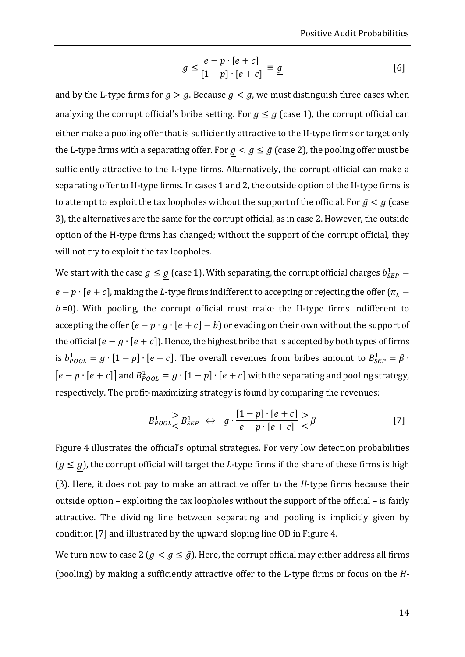$$
g \le \frac{e - p \cdot [e + c]}{[1 - p] \cdot [e + c]} \equiv \underline{g} \tag{6}
$$

and by the L-type firms for  $g > g$ . Because  $g < g$ , we must distinguish three cases when analyzing the corrupt official's bribe setting. For  $g \leq g$  (case 1), the corrupt official can either make a pooling offer that is sufficiently attractive to the H-type firms or target only the L-type firms with a separating offer. For  $g < g \le \bar{g}$  (case 2), the pooling offer must be sufficiently attractive to the L-type firms. Alternatively, the corrupt official can make a separating offer to H-type firms. In cases 1 and 2, the outside option of the H-type firms is to attempt to exploit the tax loopholes without the support of the official. For  $\bar{g} < g$  (case 3), the alternatives are the same for the corrupt official, as in case 2. However, the outside option of the H-type firms has changed; without the support of the corrupt official, they will not try to exploit the tax loopholes.

We start with the case  $g \leq g$  (case 1). With separating, the corrupt official charges  $b_{SEP}^1 =$  $e-p\cdot [e+c]$ , making the  $L$ -type firms indifferent to accepting or rejecting the offer ( $\pi^{}_L$  –  $b = 0$ ). With pooling, the corrupt official must make the H-type firms indifferent to accepting the offer  $(e - p \cdot q \cdot [e + c] - b)$  or evading on their own without the support of the official  $(e - g \cdot [e + c])$ . Hence, the highest bribe that is accepted by both types of firms is  $b_{\text{POOL}}^1 = g \cdot [1-p] \cdot [e+c]$ . The overall revenues from bribes amount to  $B_{\text{SEP}}^1 = \beta \cdot$  $[e - p \cdot [e + c]]$  and  $B_{Pool}^1 = g \cdot [1 - p] \cdot [e + c]$  with the separating and pooling strategy, respectively. The profit-maximizing strategy is found by comparing the revenues:

$$
B_{Pool}^1 > B_{SEP}^1 \Leftrightarrow g \cdot \frac{[1-p] \cdot [e+c]}{e-p \cdot [e+c]} > \beta \tag{7}
$$

Figure 4 illustrates the official's optimal strategies. For very low detection probabilities  $(g \le g)$ , the corrupt official will target the *L*-type firms if the share of these firms is high ( $\beta$ ). Here, it does not pay to make an attractive offer to the *H*-type firms because their outside option – exploiting the tax loopholes without the support of the official – is fairly attractive. The dividing line between separating and pooling is implicitly given by condition [7] and illustrated by the upward sloping line OD in Figure 4.

We turn now to case 2  $(g < g \leq \bar{g})$ . Here, the corrupt official may either address all firms (pooling) by making a sufficiently attractive offer to the L-type firms or focus on the *H*-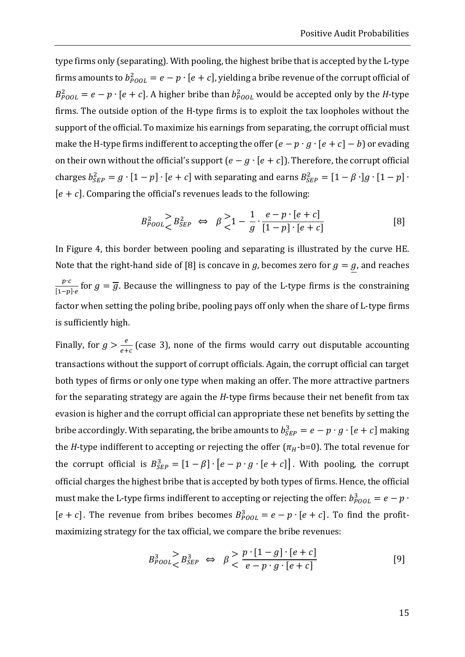type firms only (separating). With pooling, the highest bribe that is accepted by the L-type firms amounts to  $b_{\text{Pool}}^2 = e - p \cdot [e + c]$ , yielding a bribe revenue of the corrupt official of  $B_{\text{Pool}}^2 = e - p \cdot [e + c]$ . A higher bribe than  $b_{\text{Pool}}^2$  would be accepted only by the *H*-type firms. The outside option of the H-type firms is to exploit the tax loopholes without the support of the official. To maximize his earnings from separating, the corrupt official must make the H-type firms indifferent to accepting the offer  $(e - p \cdot g \cdot [e + c] - b)$  or evading on their own without the official's support  $(e - g \cdot [e + c])$ . Therefore, the corrupt official charges  $b_{SEP}^2 = g \cdot [1-p] \cdot [e+c]$  with separating and earns  $B_{SEP}^2 = [1-\beta] \cdot [1-p] \cdot [1-p]$  $[e + c]$ . Comparing the official's revenues leads to the following:

$$
B_{POOL}^{2} > B_{SEP}^{2} \iff \beta \ge 1 - \frac{1}{g} \cdot \frac{e - p \cdot [e + c]}{[1 - p] \cdot [e + c]}
$$
 [8]

In Figure 4, this border between pooling and separating is illustrated by the curve HE. Note that the right-hand side of [8] is concave in *g*, becomes zero for  $g = g$ , and reaches  $\frac{p \cdot c}{[1-p] \cdot e}$  for  $g = \overline{g}$ . Because the willingness to pay of the L-type firms is the constraining factor when setting the poling bribe, pooling pays off only when the share of L-type firms is sufficiently high.

Finally, for  $g > \frac{e}{e+c}$  (case 3), none of the firms would carry out disputable accounting transactions without the support of corrupt officials. Again, the corrupt official can target both types of firms or only one type when making an offer. The more attractive partners for the separating strategy are again the *H*-type firms because their net benefit from tax evasion is higher and the corrupt official can appropriate these net benefits by setting the bribe accordingly. With separating, the bribe amounts to  $b_{SEP}^3 = e - p \cdot g \cdot [e + c]$  making the *H*-type indifferent to accepting or rejecting the offer  $(\pi_H$ -b=0). The total revenue for the corrupt official is  $B_{SEP}^3 = [1 - \beta] \cdot [e - p \cdot g \cdot [e + c]]$ . With pooling, the corrupt official charges the highest bribe that is accepted by both types of firms. Hence, the official must make the L-type firms indifferent to accepting or rejecting the offer:  $b_{POOL}^3 = e - p \cdot$  $[e + c]$ . The revenue from bribes becomes  $B_{POOL}^3 = e - p \cdot [e + c]$ . To find the profitmaximizing strategy for the tax official, we compare the bribe revenues:

$$
B_{Pool}^3 > B_{SEP}^3 \Leftrightarrow \beta < \frac{p \cdot [1 - g] \cdot [e + c]}{e - p \cdot g \cdot [e + c]} \tag{9}
$$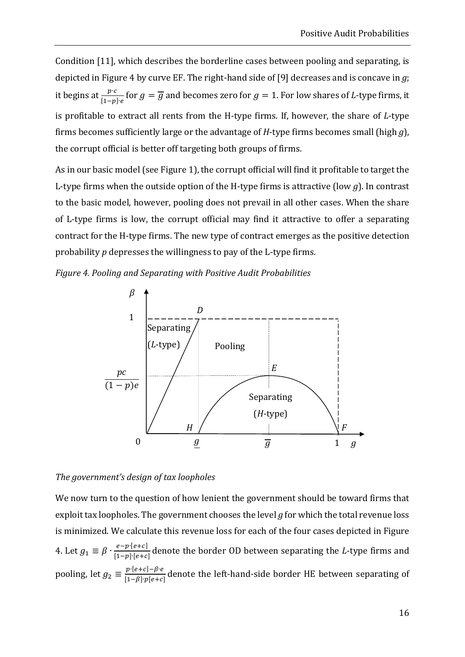Condition [11], which describes the borderline cases between pooling and separating, is depicted in Figure 4 by curve EF. The right-hand side of [9] decreases and is concave in  $g$ ; it begins at  $\frac{p \cdot c}{[1-p] \cdot e}$  for  $g = \overline{g}$  and becomes zero for  $g = 1$ . For low shares of *L*-type firms, it is profitable to extract all rents from the H-type firms. If, however, the share of *L*-type firms becomes sufficiently large or the advantage of *H*-type firms becomes small (high  $q$ ), the corrupt official is better off targeting both groups of firms.

As in our basic model (see Figure 1), the corrupt official will find it profitable to target the L-type firms when the outside option of the H-type firms is attractive (low  $g$ ). In contrast to the basic model, however, pooling does not prevail in all other cases. When the share of L-type firms is low, the corrupt official may find it attractive to offer a separating contract for the H-type firms. The new type of contract emerges as the positive detection probability *p* depresses the willingness to pay of the L-type firms.

*Figure 4. Pooling and Separating with Positive Audit Probabilities*



#### *The government's design of tax loopholes*

We now turn to the question of how lenient the government should be toward firms that exploit tax loopholes. The government chooses the level  $q$  for which the total revenue loss is minimized. We calculate this revenue loss for each of the four cases depicted in Figure 4. Let  $g_1 \equiv \beta \cdot \frac{e - p \cdot [e + c]}{[1-p] \cdot [e + c]}$  denote the border OD between separating the *L*-type firms and pooling, let  $g_2 \equiv \frac{p \cdot [e+c] - \beta \cdot e}{[1-\beta] \cdot p[e+c]}$  denote the left-hand-side border HE between separating of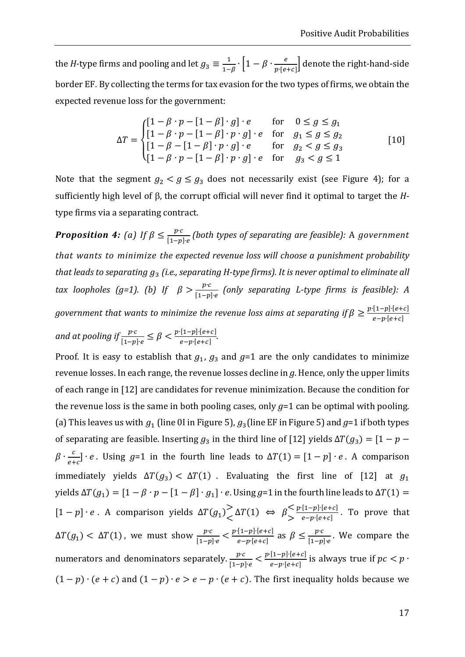the *H*-type firms and pooling and let  $g_3 \equiv \frac{1}{1-\beta} \cdot \left[1-\beta \cdot \frac{e}{p \cdot [e+c]}\right]$  denote the right-hand-side border EF. By collecting the terms for tax evasion for the two types of firms, we obtain the expected revenue loss for the government:

$$
\Delta T = \begin{cases}\n[1 - \beta \cdot p - [1 - \beta] \cdot g] \cdot e & \text{for} & 0 \le g \le g_1 \\
[1 - \beta \cdot p - [1 - \beta] \cdot p \cdot g] \cdot e & \text{for} & g_1 \le g \le g_2 \\
[1 - \beta - [1 - \beta] \cdot p \cdot g] \cdot e & \text{for} & g_2 < g \le g_3 \\
[1 - \beta \cdot p - [1 - \beta] \cdot p \cdot g] \cdot e & \text{for} & g_3 < g \le 1\n\end{cases}
$$
\n[10]

Note that the segment  $g_2 < g \leq g_3$  does not necessarily exist (see Figure 4); for a sufficiently high level of  $\beta$ , the corrupt official will never find it optimal to target the *H*type firms via a separating contract.

*Proposition 4:* (a) If  $\beta \leq \frac{p \cdot c}{[1-p] \cdot e}$  (both types of separating are feasible): A government *that wants to minimize the expected revenue loss will choose a punishment probability that leads to separating* ݃ଷ *(i.e., separating H‐type firms). It is never optimal to eliminate all tax loopholes* (*g*=1). (b) If  $\beta > \frac{p \cdot c}{[1-p] \cdot e}$  (only separating *L*-type firms is feasible): A *government that wants to minimize the revenue loss aims at separating if*  $\beta \geq \frac{p \cdot [1-p] \cdot [e+c]}{e-p \cdot [e+c]}$ 

*and at pooling if*  $\frac{p \cdot c}{[1-p] \cdot e} \leq \beta < \frac{p \cdot [1-p] \cdot [e+c]}{e-p \cdot [e+c]}$ .

Proof. It is easy to establish that  $g_1$ ,  $g_3$  and  $g=1$  are the only candidates to minimize revenue losses. In each range, the revenue losses decline in  $g$ . Hence, only the upper limits of each range in [12] are candidates for revenue minimization. Because the condition for the revenue loss is the same in both pooling cases, only  $g=1$  can be optimal with pooling. (a) This leaves us with  $g_1$  (line 0I in Figure 5),  $g_3$ (line EF in Figure 5) and  $g=1$  if both types of separating are feasible. Inserting  $g_3$  in the third line of [12] yields  $\Delta T(g_3) = [1 - p \beta \cdot \frac{c}{e+c}$  •  $e$ . Using  $g=1$  in the fourth line leads to  $\Delta T(1) = [1-p] \cdot e$ . A comparison immediately yields  $\Delta T(g_3) < \Delta T(1)$ . Evaluating the first line of [12] at  $g_1$ yields  $\Delta T(g_1) = [1 - \beta \cdot p - [1 - \beta] \cdot g_1] \cdot e$ . Using  $g=1$  in the fourth line leads to  $\Delta T(1) =$  $[1-p] \cdot e$ . A comparison yields  $\Delta T(g_1) \geq \Delta T(1)$  ⇔  $\beta >$  $\frac{p\cdot[1-p]\cdot[e+c]}{e-p\cdot[e+c]}$ . To prove that  $\Delta T(g_1) < \Delta T(1)$ , we must show  $\frac{p \cdot c}{[1-p] \cdot e} < \frac{p \cdot [1-p] \cdot [e+c]}{e-p \cdot [e+c]}$  as  $\beta \le \frac{p \cdot c}{[1-p] \cdot e}$ . We compare the numerators and denominators separately.  $\frac{p\cdot c}{[1-p] \cdot e} < \frac{p\cdot [1-p]\cdot [e+c]}{e-p\cdot [e+c]}$  is always true if  $pc < p \cdot$  $(1-p) \cdot (e+c)$  and  $(1-p) \cdot e > e-p \cdot (e+c)$ . The first inequality holds because we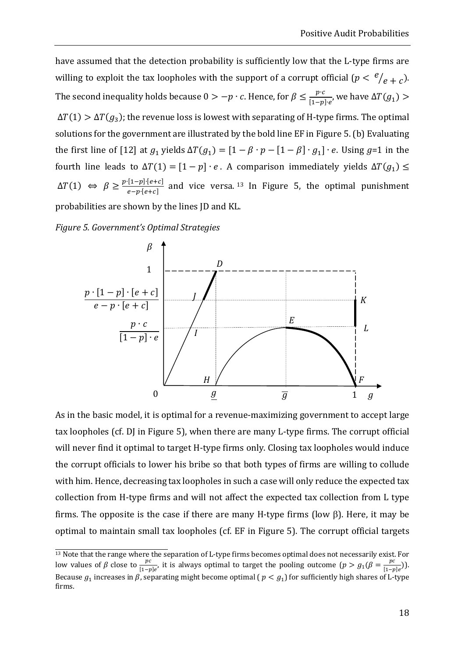have assumed that the detection probability is sufficiently low that the L-type firms are willing to exploit the tax loopholes with the support of a corrupt official  $\left( p < \frac{e}{e+c}\right)$ . The second inequality holds because 0 > −p  $\cdot$   $c$ . Hence, for  $\beta \leq \frac{p\cdot c}{[1-p]\cdot e'}$ , we have  $\Delta T(g_1)$  >  $\Delta T(1) > \Delta T(g_3)$ ; the revenue loss is lowest with separating of H-type firms. The optimal solutions for the government are illustrated by the bold line EF in Figure 5. (b) Evaluating the first line of [12] at  $g_1$  yields  $\Delta T(g_1) = [1 - \beta \cdot p - [1 - \beta] \cdot g_1] \cdot e$ . Using  $g=1$  in the fourth line leads to  $\Delta T(1) = [1 - p] \cdot e$ . A comparison immediately yields  $\Delta T(g_1) \leq$  $\Delta T(1)$  ⇔  $\beta \ge \frac{p \cdot [1-p] \cdot [e+c]}{e-p \cdot [e+c]}$  and vice versa. <sup>13</sup> In Figure 5, the optimal punishment probabilities are shown by the lines JD and KL.

*Figure 5. Government's Optimal Strategies* 



As in the basic model, it is optimal for a revenue-maximizing government to accept large tax loopholes (cf. DJ in Figure 5), when there are many L-type firms. The corrupt official will never find it optimal to target H-type firms only. Closing tax loopholes would induce the corrupt officials to lower his bribe so that both types of firms are willing to collude with him. Hence, decreasing tax loopholes in such a case will only reduce the expected tax collection from H-type firms and will not affect the expected tax collection from L type firms. The opposite is the case if there are many H-type firms (low  $\beta$ ). Here, it may be optimal to maintain small tax loopholes (cf. EF in Figure 5). The corrupt official targets

 $\frac{13}{13}$  Note that the range where the separation of L-type firms becomes optimal does not necessarily exist. For low values of  $\beta$  close to  $\frac{pc}{[1-p]e}$ , it is always optimal to target the pooling outcome  $(p > g_1(\beta = \frac{pc}{[1-p]e})$ . Because  $g_1$  increases in  $\beta$ , separating might become optimal ( $p < g_1$ ) for sufficiently high shares of L-type firms.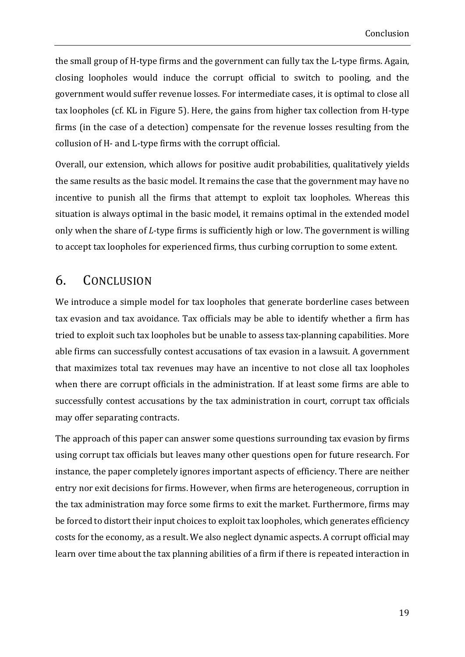the small group of H-type firms and the government can fully tax the L-type firms. Again, closing loopholes would induce the corrupt official to switch to pooling, and the government would suffer revenue losses. For intermediate cases, it is optimal to close all tax loopholes (cf. KL in Figure 5). Here, the gains from higher tax collection from H-type firms (in the case of a detection) compensate for the revenue losses resulting from the collusion of H- and L-type firms with the corrupt official.

Overall, our extension, which allows for positive audit probabilities, qualitatively yields the same results as the basic model. It remains the case that the government may have no incentive to punish all the firms that attempt to exploit tax loopholes. Whereas this situation is always optimal in the basic model, it remains optimal in the extended model only when the share of *L*-type firms is sufficiently high or low. The government is willing to accept tax loopholes for experienced firms, thus curbing corruption to some extent.

## 6. CONCLUSION

We introduce a simple model for tax loopholes that generate borderline cases between tax evasion and tax avoidance. Tax officials may be able to identify whether a firm has tried to exploit such tax loopholes but be unable to assess tax-planning capabilities. More able firms can successfully contest accusations of tax evasion in a lawsuit. A government that maximizes total tax revenues may have an incentive to not close all tax loopholes when there are corrupt officials in the administration. If at least some firms are able to successfully contest accusations by the tax administration in court, corrupt tax officials may offer separating contracts.

The approach of this paper can answer some questions surrounding tax evasion by firms using corrupt tax officials but leaves many other questions open for future research. For instance, the paper completely ignores important aspects of efficiency. There are neither entry nor exit decisions for firms. However, when firms are heterogeneous, corruption in the tax administration may force some firms to exit the market. Furthermore, firms may be forced to distort their input choices to exploit tax loopholes, which generates efficiency costs for the economy, as a result. We also neglect dynamic aspects. A corrupt official may learn over time about the tax planning abilities of a firm if there is repeated interaction in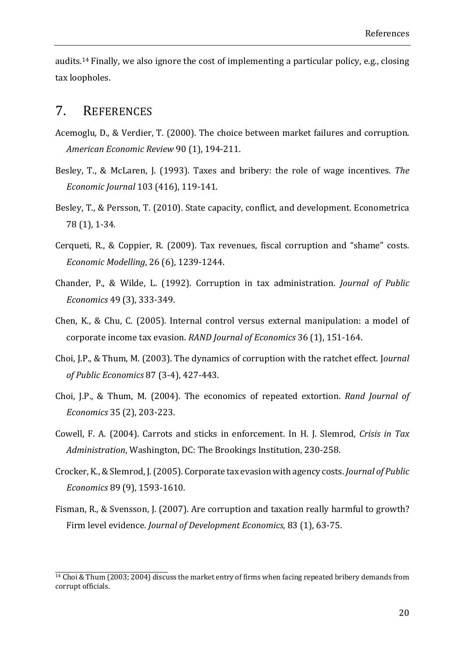audits.<sup>14</sup> Finally, we also ignore the cost of implementing a particular policy, e.g., closing tax loopholes.

#### 7. REFERENCES

the contract of the contract of the contract of the contract of the contract of the contract of the contract of

- Acemoglu, D., & Verdier, T. (2000). The choice between market failures and corruption. *American Economic Review* 90 (1), 194‐211.
- Besley, T., & McLaren, J. (1993). Taxes and bribery: the role of wage incentives. The *Economic Journal* 103 (416), 119‐141.
- Besley, T., & Persson, T. (2010). State capacity, conflict, and development. Econometrica 78 (1), 1‐34.
- Cerqueti, R., & Coppier, R. (2009). Tax revenues, fiscal corruption and "shame" costs. *Economic Modelling*, 26 (6), 1239‐1244.
- Chander, P., & Wilde, L. (1992). Corruption in tax administration. *Journal of Public Economics* 49 (3), 333‐349.
- Chen, K., & Chu, C. (2005). Internal control versus external manipulation: a model of corporate income tax evasion. *RAND Journal of Economics* 36 (1), 151-164.
- Choi, J.P., & Thum, M. (2003). The dynamics of corruption with the ratchet effect. Journal *of Public Economics* 87 (3‐4), 427‐443.
- Choi, J.P., & Thum, M. (2004). The economics of repeated extortion. *Rand Journal of Economics* 35 (2), 203‐223.
- Cowell, F. A. (2004). Carrots and sticks in enforcement. In H. J. Slemrod, *Crisis in Tax* Administration, Washington, DC: The Brookings Institution, 230-258.
- Crocker, K., & Slemrod, J. (2005). Corporate tax evasion with agency costs. *Journal of Public Economics* 89 (9), 1593‐1610.
- Fisman, R., & Svensson, J. (2007). Are corruption and taxation really harmful to growth? Firm level evidence. *Journal of Development Economics*, 83 (1), 63‐75.

 $14$  Choi & Thum (2003; 2004) discuss the market entry of firms when facing repeated bribery demands from corrupt officials.